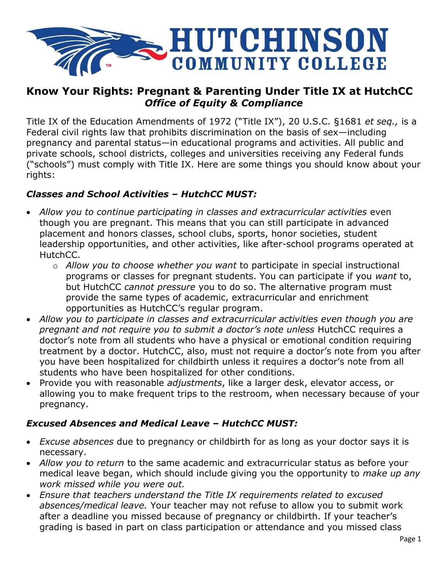

## **Know Your Rights: Pregnant & Parenting Under Title IX at HutchCC** *Office of Equity & Compliance*

Title IX of the Education Amendments of 1972 ("Title IX"), 20 U.S.C. §1681 *et seq.,* is a Federal civil rights law that prohibits discrimination on the basis of sex—including pregnancy and parental status—in educational programs and activities. All public and private schools, school districts, colleges and universities receiving any Federal funds ("schools") must comply with Title IX. Here are some things you should know about your rights:

### *Classes and School Activities – HutchCC MUST:*

- *Allow you to continue participating in classes and extracurricular activities* even though you are pregnant. This means that you can still participate in advanced placement and honors classes, school clubs, sports, honor societies, student leadership opportunities, and other activities, like after-school programs operated at HutchCC.
	- o *Allow you to choose whether you want* to participate in special instructional programs or classes for pregnant students. You can participate if you *want* to, but HutchCC *cannot pressure* you to do so. The alternative program must provide the same types of academic, extracurricular and enrichment opportunities as HutchCC's regular program.
- *Allow you to participate in classes and extracurricular activities even though you are pregnant and not require you to submit a doctor's note unless* HutchCC requires a doctor's note from all students who have a physical or emotional condition requiring treatment by a doctor. HutchCC, also, must not require a doctor's note from you after you have been hospitalized for childbirth unless it requires a doctor's note from all students who have been hospitalized for other conditions.
- Provide you with reasonable *adjustments*, like a larger desk, elevator access, or allowing you to make frequent trips to the restroom, when necessary because of your pregnancy.

#### *Excused Absences and Medical Leave – HutchCC MUST:*

- *Excuse absences* due to pregnancy or childbirth for as long as your doctor says it is necessary.
- *Allow you to return* to the same academic and extracurricular status as before your medical leave began, which should include giving you the opportunity to *make up any work missed while you were out.*
- *Ensure that teachers understand the Title IX requirements related to excused absences/medical leave.* Your teacher may not refuse to allow you to submit work after a deadline you missed because of pregnancy or childbirth. If your teacher's grading is based in part on class participation or attendance and you missed class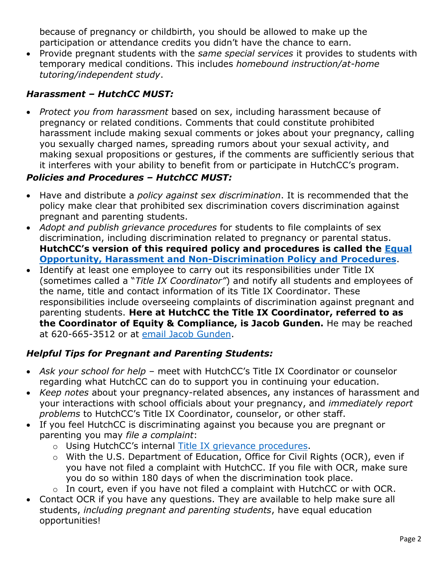because of pregnancy or childbirth, you should be allowed to make up the participation or attendance credits you didn't have the chance to earn.

 Provide pregnant students with the *same special services* it provides to students with temporary medical conditions. This includes *homebound instruction/at-home tutoring/independent study*.

# *Harassment – HutchCC MUST:*

 *Protect you from harassment* based on sex, including harassment because of pregnancy or related conditions. Comments that could constitute prohibited harassment include making sexual comments or jokes about your pregnancy, calling you sexually charged names, spreading rumors about your sexual activity, and making sexual propositions or gestures, if the comments are sufficiently serious that it interferes with your ability to benefit from or participate in HutchCC's program.

### *Policies and Procedures – HutchCC MUST:*

- Have and distribute a *policy against sex discrimination*. It is recommended that the policy make clear that prohibited sex discrimination covers discrimination against pregnant and parenting students.
- *Adopt and publish grievance procedures* for students to file complaints of sex discrimination, including discrimination related to pregnancy or parental status. **HutchCC's version of this required policy and procedures is called the [Equal](https://dz.hutchcc.edu/api/doc.inc.php?refnum=1089)  [Opportunity, Harassment and Non-Discrimination Policy and Procedures](https://dz.hutchcc.edu/api/doc.inc.php?refnum=1089)**.
- Identify at least one employee to carry out its responsibilities under Title IX (sometimes called a "*Title IX Coordinator"*) and notify all students and employees of the name, title and contact information of its Title IX Coordinator. These responsibilities include overseeing complaints of discrimination against pregnant and parenting students. **Here at HutchCC the Title IX Coordinator, referred to as the Coordinator of Equity & Compliance, is Jacob Gunden.** He may be reached at 620-665-3512 or at [email Jacob Gunden.](mailto:gundenj@hutchcc.edu)

## *Helpful Tips for Pregnant and Parenting Students:*

- *Ask your school for help* meet with HutchCC's Title IX Coordinator or counselor regarding what HutchCC can do to support you in continuing your education.
- *Keep notes* about your pregnancy-related absences, any instances of harassment and your interactions with school officials about your pregnancy, and *immediately report problems* to HutchCC's Title IX Coordinator, counselor, or other staff.
- If you feel HutchCC is discriminating against you because you are pregnant or parenting you may *file a complaint*:
	- o Using HutchCC's internal [Title IX grievance procedures.](https://dz.hutchcc.edu/api/doc.inc.php?refnum=1089)
	- o With the U.S. Department of Education, Office for Civil Rights (OCR), even if you have not filed a complaint with HutchCC. If you file with OCR, make sure you do so within 180 days of when the discrimination took place.
	- o In court, even if you have not filed a complaint with HutchCC or with OCR.
- Contact OCR if you have any questions. They are available to help make sure all students, *including pregnant and parenting students*, have equal education opportunities!